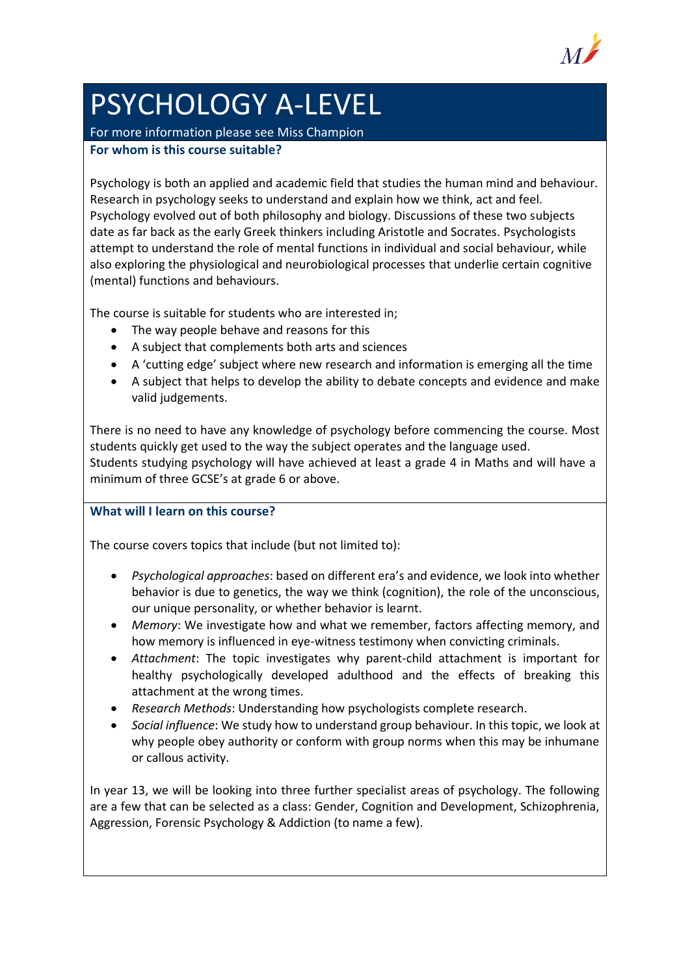

## PSYCHOLOGY A-LEVEL

For more information please see Miss Champion **For whom is this course suitable?**

Psychology is both an applied and academic field that studies the human mind and behaviour. Research in psychology seeks to understand and explain how we think, act and feel. Psychology evolved out of both philosophy and biology. Discussions of these two subjects date as far back as the early Greek thinkers including Aristotle and Socrates. Psychologists attempt to understand the role of mental functions in individual and social behaviour, while also exploring the physiological and neurobiological processes that underlie certain cognitive (mental) functions and behaviours.

The course is suitable for students who are interested in;

- The way people behave and reasons for this
- A subject that complements both arts and sciences
- A 'cutting edge' subject where new research and information is emerging all the time
- A subject that helps to develop the ability to debate concepts and evidence and make valid judgements.

There is no need to have any knowledge of psychology before commencing the course. Most students quickly get used to the way the subject operates and the language used. Students studying psychology will have achieved at least a grade 4 in Maths and will have a minimum of three GCSE's at grade 6 or above.

**What will I learn on this course?**

The course covers topics that include (but not limited to):

- *Psychological approaches*: based on different era's and evidence, we look into whether behavior is due to genetics, the way we think (cognition), the role of the unconscious, our unique personality, or whether behavior is learnt.
- *Memory*: We investigate how and what we remember, factors affecting memory, and how memory is influenced in eye-witness testimony when convicting criminals.
- *Attachment*: The topic investigates why parent-child attachment is important for healthy psychologically developed adulthood and the effects of breaking this attachment at the wrong times.
- *Research Methods*: Understanding how psychologists complete research.
- *Social influence*: We study how to understand group behaviour. In this topic, we look at why people obey authority or conform with group norms when this may be inhumane or callous activity.

In year 13, we will be looking into three further specialist areas of psychology. The following are a few that can be selected as a class: Gender, Cognition and Development, Schizophrenia, Aggression, Forensic Psychology & Addiction (to name a few).